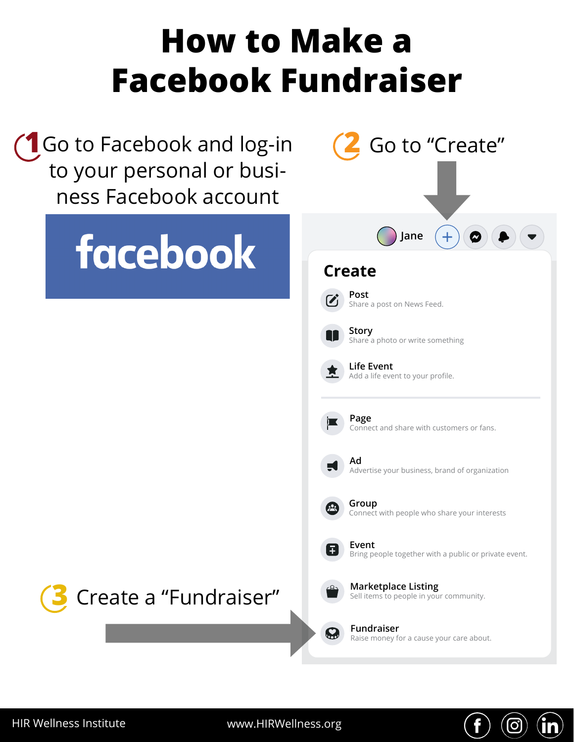## **How to Make a Facebook Fundraiser**

Go to "Create"

O,

Go to Facebook and log-in **1 2 1**to your personal or business Facebook account **3 4 2**

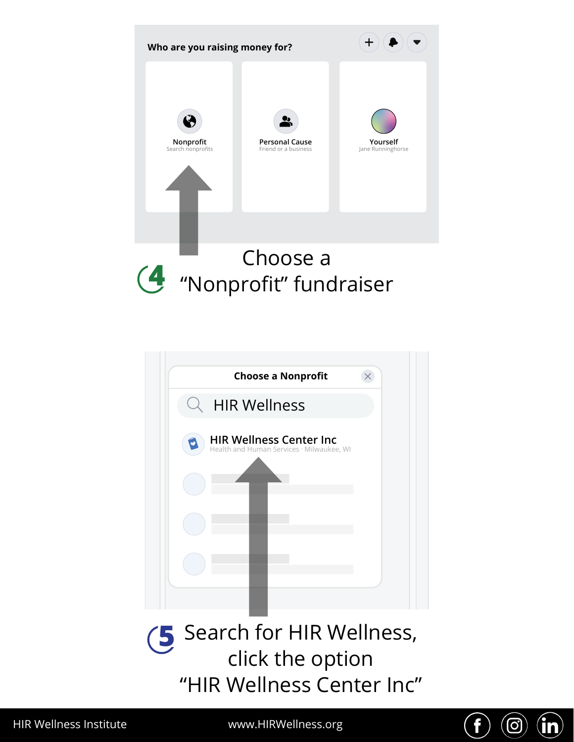